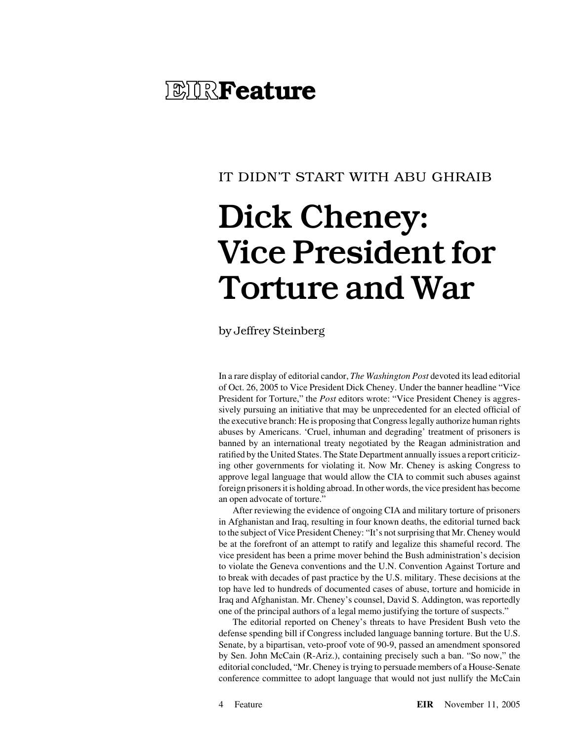# **EIRFeature**

## IT DIDN'T START WITH ABU GHRAIB

# Dick Cheney: Vice President for Torture and War

by Jeffrey Steinberg

In a rare display of editorial candor, *The Washington Post* devoted its lead editorial of Oct. 26, 2005 to Vice President Dick Cheney. Under the banner headline "Vice President for Torture," the *Post* editors wrote: "Vice President Cheney is aggressively pursuing an initiative that may be unprecedented for an elected official of the executive branch: He is proposing that Congress legally authorize human rights abuses by Americans. 'Cruel, inhuman and degrading' treatment of prisoners is banned by an international treaty negotiated by the Reagan administration and ratified by the United States. The State Department annually issues a report criticizing other governments for violating it. Now Mr. Cheney is asking Congress to approve legal language that would allow the CIA to commit such abuses against foreign prisoners it is holding abroad. In other words, the vice president has become an open advocate of torture."

After reviewing the evidence of ongoing CIA and military torture of prisoners in Afghanistan and Iraq, resulting in four known deaths, the editorial turned back to the subject of Vice President Cheney: "It's not surprising that Mr. Cheney would be at the forefront of an attempt to ratify and legalize this shameful record. The vice president has been a prime mover behind the Bush administration's decision to violate the Geneva conventions and the U.N. Convention Against Torture and to break with decades of past practice by the U.S. military. These decisions at the top have led to hundreds of documented cases of abuse, torture and homicide in Iraq and Afghanistan. Mr. Cheney's counsel, David S. Addington, was reportedly one of the principal authors of a legal memo justifying the torture of suspects."

The editorial reported on Cheney's threats to have President Bush veto the defense spending bill if Congress included language banning torture. But the U.S. Senate, by a bipartisan, veto-proof vote of 90-9, passed an amendment sponsored by Sen. John McCain (R-Ariz.), containing precisely such a ban. "So now," the editorial concluded, "Mr. Cheney is trying to persuade members of a House-Senate conference committee to adopt language that would not just nullify the McCain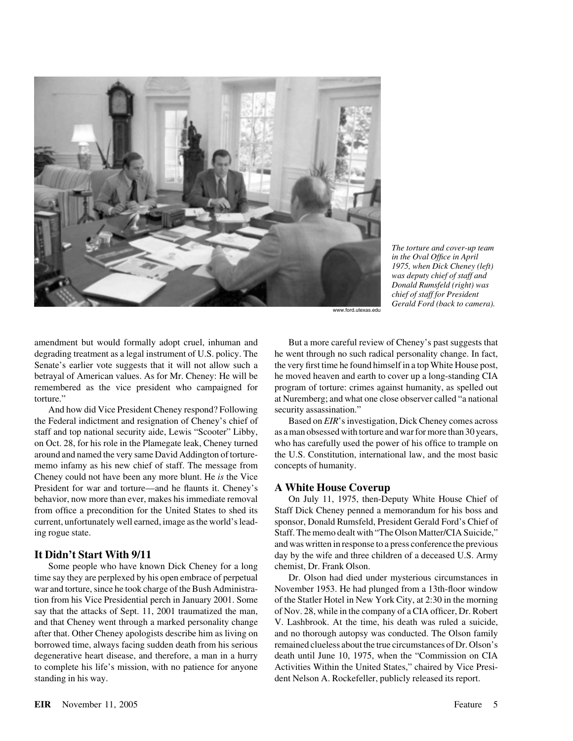

*The torture and cover-up team in the Oval Office in April 1975, when Dick Cheney (left) was deputy chief of staff and Donald Rumsfeld (right) was chief of staff for President Gerald Ford (back to camera).* www.ford.utexas.edu

amendment but would formally adopt cruel, inhuman and But a more careful review of Cheney's past suggests that degrading treatment as a legal instrument of U.S. policy. The he went through no such radical personality change. In fact, Senate's earlier vote suggests that it will not allow such a the very first time he found himself in a top White House post, betrayal of American values. As for Mr. Cheney: He will be he moved heaven and earth to cover up a long-standing CIA remembered as the vice president who campaigned for program of torture: crimes against humanity, as spelled out

And how did Vice President Cheney respond? Following security assassination." the Federal indictment and resignation of Cheney's chief of Based on *EIR*'s investigation, Dick Cheney comes across staff and top national security aide, Lewis "Scooter" Libby, as a man obsessed with torture and war for more than 30 years, on Oct. 28, for his role in the Plamegate leak, Cheney turned who has carefully used the power of his office to trample on around and named the very same David Addington of torture- the U.S. Constitution, international law, and the most basic memo infamy as his new chief of staff. The message from concepts of humanity. Cheney could not have been any more blunt. He *is* the Vice President for war and torture—and he flaunts it. Cheney's **A White House Coverup** behavior, now more than ever, makes his immediate removal On July 11, 1975, then-Deputy White House Chief of from office a precondition for the United States to shed its Staff Dick Cheney penned a memorandum for his boss and current, unfortunately well earned, image as the world's lead- sponsor, Donald Rumsfeld, President Gerald Ford's Chief of

Some people who have known Dick Cheney for a long chemist, Dr. Frank Olson. time say they are perplexed by his open embrace of perpetual Dr. Olson had died under mysterious circumstances in war and torture, since he took charge of the Bush Administra-<br>November 1953. He had plunged from a 13th-floor window tion from his Vice Presidential perch in January 2001. Some of the Statler Hotel in New York City, at 2:30 in the morning say that the attacks of Sept. 11, 2001 traumatized the man, of Nov. 28, while in the company of a CIA officer, Dr. Robert and that Cheney went through a marked personality change V. Lashbrook. At the time, his death was ruled a suicide, after that. Other Cheney apologists describe him as living on and no thorough autopsy was conducted. The Olson family borrowed time, always facing sudden death from his serious remained clueless about the true circumstances of Dr. Olson's degenerative heart disease, and therefore, a man in a hurry death until June 10, 1975, when the "Commission on CIA to complete his life's mission, with no patience for anyone Activities Within the United States," chaired by Vice Presistanding in his way. dent Nelson A. Rockefeller, publicly released its report.

torture." at Nuremberg; and what one close observer called "a national

ing rogue state. Staff. The memo dealt with "The Olson Matter/CIA Suicide," and was written in response to a press conference the previous **It Didn't Start With 9/11** day by the wife and three children of a deceased U.S. Army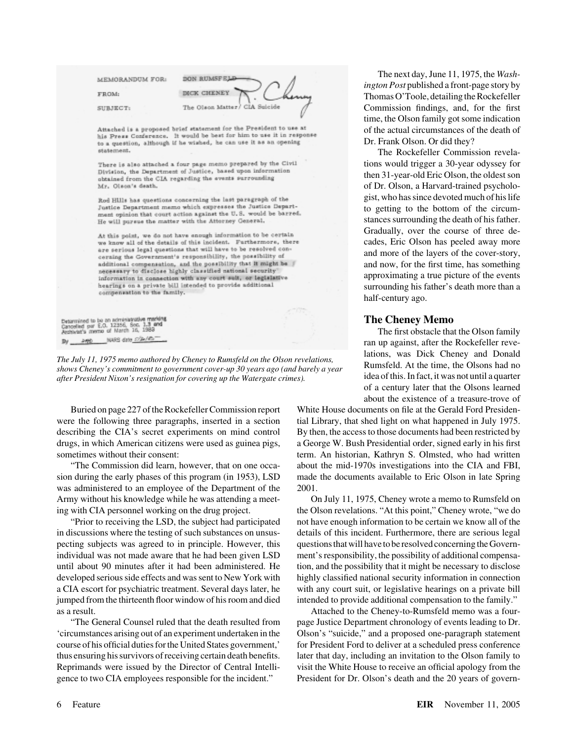| MEMORANDUM FOR: | DON RUMSFELD                                        |
|-----------------|-----------------------------------------------------|
| FROM:           | DICK CHENEY                                         |
| SUBJECT:        | The Olson Matter / CIA Suicide                      |
|                 | a proposed brief statement for the President to use |

his Press Conference. It would be best for him to use it in response to a question, although if he wished, he can use it as an opening statement.

There is also attached a four page memo prepared by the Civil Division, the Department of Justice, based upon information obtained from the CIA regarding the events surrounding Mr. Olson's death.

Rod Hills has questions concerning the last paragraph of the Justice Department memo which expresses the Justice Department opinion that court action against the U.S. would be barred. He will pursue the matter with the Attorney General.

At this point, we do not have enough information to be certain we know all of the details of this incident. Furthermore, there are serious legal questions that will have to be resolved concerning the Government's responsibility, the possibility of additional compensation, and the possibility that it might be / necessary to disclose highly classified national security information in connection with any court sult, or legislative hearings on a private bill intended to provide additional compensation to the family.

Determined to be an administrative markin<br>Cancelled per E.O. 12356, Soc. 1.3 and<br>Archivat's memo of March 16, 1989 NARS date 5/2-/45 2490 Dy

The July 11, 1975 memo authored by Cheney to Rumsfeld on the Olson revelations, lations, was Dick Cheney and Donald<br>shows Cheney's commitment to government cover-up 30 years ago (and barely a year<br>after President Nixon's r *after President Nixon's resignation for covering up the Watergate crimes).* 

were the following three paragraphs, inserted in a section tial Library, that shed light on what happened in July 1975. describing the CIA's secret experiments on mind control By then, the access to those documents had been restricted by drugs, in which American citizens were used as guinea pigs, a George W. Bush Presidential order, signed early in his first sometimes without their consent: term. An historian, Kathryn S. Olmsted, who had written

sion during the early phases of this program (in 1953), LSD made the documents available to Eric Olson in late Spring was administered to an employee of the Department of the 2001. Army without his knowledge while he was attending a meet- On July 11, 1975, Cheney wrote a memo to Rumsfeld on ing with CIA personnel working on the drug project. the Olson revelations. "At this point," Cheney wrote, "we do

in discussions where the testing of such substances on unsus- details of this incident. Furthermore, there are serious legal pecting subjects was agreed to in principle. However, this questions that will have to be resolved concerning the Governindividual was not made aware that he had been given LSD ment's responsibility, the possibility of additional compensauntil about 90 minutes after it had been administered. He tion, and the possibility that it might be necessary to disclose developed serious side effects and was sent to New York with highly classified national security information in connection a CIA escort for psychiatric treatment. Several days later, he with any court suit, or legislative hearings on a private bill jumped from the thirteenth floor window of his room and died intended to provide additional compensation to the family." as a result. Attached to the Cheney-to-Rumsfeld memo was a four-

'circumstances arising out of an experiment undertaken in the Olson's "suicide," and a proposed one-paragraph statement course of his official duties for the United States government,' for President Ford to deliver at a scheduled press conference thus ensuring his survivors of receiving certain death benefits. later that day, including an invitation to the Olson family to Reprimands were issued by the Director of Central Intelli- visit the White House to receive an official apology from the gence to two CIA employees responsible for the incident." President for Dr. Olson's death and the 20 years of govern-

The next day, June 11, 1975, the *Washington Post* published a front-page story by Thomas O'Toole, detailing the Rockefeller Commission findings, and, for the first time, the Olson family got some indication of the actual circumstances of the death of Dr. Frank Olson. Or did they?

The Rockefeller Commission revelations would trigger a 30-year odyssey for then 31-year-old Eric Olson, the oldest son of Dr. Olson, a Harvard-trained psychologist, who has since devoted much of his life to getting to the bottom of the circumstances surrounding the death of his father. Gradually, over the course of three decades, Eric Olson has peeled away more and more of the layers of the cover-story, and now, for the first time, has something approximating a true picture of the events surrounding his father's death more than a half-century ago.

## **The Cheney Memo**

The first obstacle that the Olson family ran up against, after the Rockefeller reveof a century later that the Olsons learned about the existence of a treasure-trove of

Buried on page 227 of the Rockefeller Commission report White House documents on file at the Gerald Ford Presiden-"The Commission did learn, however, that on one occa- about the mid-1970s investigations into the CIA and FBI,

"Prior to receiving the LSD, the subject had participated not have enough information to be certain we know all of the

"The General Counsel ruled that the death resulted from page Justice Department chronology of events leading to Dr.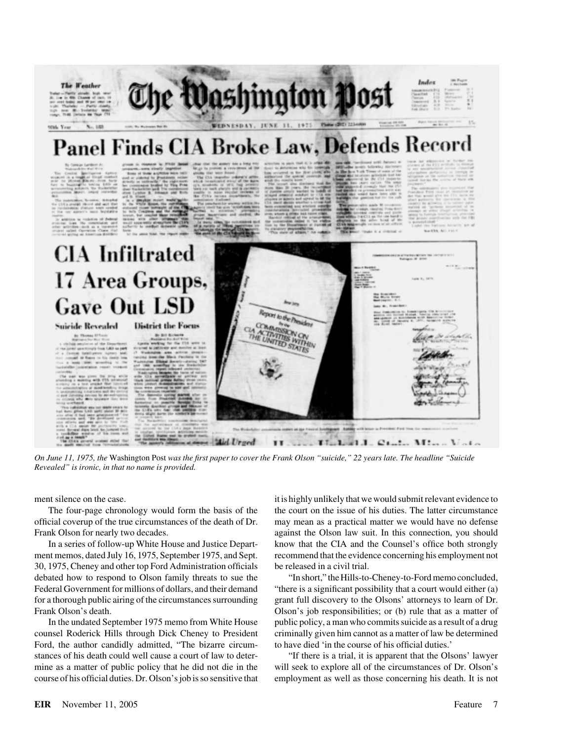

## **CIA** Infiltrated 17 Area Groups, **Gave Out LSD Suicide Revealed District the Focus**

**Mid Urged** 

*On June 11, 1975, the* Washington Post *was the first paper to cover the Frank Olson "suicide," 22 years late. The headline "Suicide Revealed" is ironic, in that no name is provided.*

 $\mathbf{r}$ 

official coverup of the true circumstances of the death of Dr. may mean as a practical matter we would have no defense Frank Olson for nearly two decades. The against the Olson law suit. In this connection, you should

ment memos, dated July 16, 1975, September 1975, and Sept. recommend that the evidence concerning his employment not 30, 1975, Cheney and other top Ford Administration officials be released in a civil trial. debated how to respond to Olson family threats to sue the "In short," the Hills-to-Cheney-to-Ford memo concluded, Federal Government for millions of dollars, and their demand "there is a significant possibility that a court would either (a) for a thorough public airing of the circumstances surrounding grant full discovery to the Olsons' attorneys to learn of Dr. Frank Olson's death. Olson's job responsibilities; or (b) rule that as a matter of

counsel Roderick Hills through Dick Cheney to President criminally given him cannot as a matter of law be determined Ford, the author candidly admitted, "The bizarre circum- to have died 'in the course of his official duties.' stances of his death could well cause a court of law to deter- "If there is a trial, it is apparent that the Olsons' lawyer mine as a matter of public policy that he did not die in the will seek to explore all of the circumstances of Dr. Olson's course of his official duties. Dr. Olson's job is so sensitive that employment as well as those concerning his death. It is not

ment silence on the case. it is highly unlikely that we would submit relevant evidence to The four-page chronology would form the basis of the the court on the issue of his duties. The latter circumstance In a series of follow-up White House and Justice Depart- know that the CIA and the Counsel's office both strongly

Hallat J. Ctain Minn Vate

In the undated September 1975 memo from White House public policy, a man who commits suicide as a result of a drug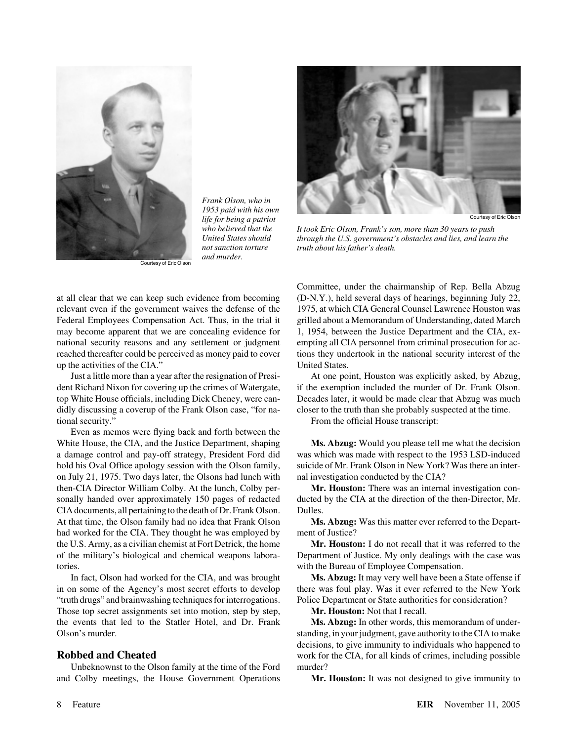

*Frank Olson, who in 1953 paid with his own* life for being a patriot *and murder.*

*who believed that the It took Eric Olson, Frank's son, more than 30 years to push United States should through the U.S. government's obstacles and lies, and learn the truth about his father's death.* 

Courtesy of Eric Olson

up the activities of the CIA." United States.

Just a little more than a year after the resignation of Presi- At one point, Houston was explicitly asked, by Abzug, dent Richard Nixon for covering up the crimes of Watergate, if the exemption included the murder of Dr. Frank Olson. top White House officials, including Dick Cheney, were can- Decades later, it would be made clear that Abzug was much didly discussing a coverup of the Frank Olson case, "for na-closer to the truth than she probably suspected at the time. tional security." From the official House transcript:

Even as memos were flying back and forth between the hold his Oval Office apology session with the Olson family, suicide of Mr. Frank Olson in New York? Was there an interon July 21, 1975. Two days later, the Olsons had lunch with nal investigation conducted by the CIA? then-CIA Director William Colby. At the lunch, Colby per- **Mr. Houston:** There was an internal investigation consonally handed over approximately 150 pages of redacted ducted by the CIA at the direction of the then-Director, Mr. CIA documents, all pertaining to the death of Dr. Frank Olson. Dulles. At that time, the Olson family had no idea that Frank Olson **Ms. Abzug:** Was this matter ever referred to the Departhad worked for the CIA. They thought he was employed by ment of Justice? the U.S. Army, as a civilian chemist at Fort Detrick, the home **Mr. Houston:** I do not recall that it was referred to the of the military's biological and chemical weapons labora- Department of Justice. My only dealings with the case was tories. with the Bureau of Employee Compensation.

in on some of the Agency's most secret efforts to develop there was foul play. Was it ever referred to the New York "truth drugs" and brainwashing techniques for interrogations. Police Department or State authorities for consideration? Those top secret assignments set into motion, step by step, **Mr. Houston:** Not that I recall. the events that led to the Statler Hotel, and Dr. Frank **Ms. Abzug:** In other words, this memorandum of under-

Unbeknownst to the Olson family at the time of the Ford murder? and Colby meetings, the House Government Operations **Mr. Houston:** It was not designed to give immunity to

Committee, under the chairmanship of Rep. Bella Abzug at all clear that we can keep such evidence from becoming (D-N.Y.), held several days of hearings, beginning July 22, relevant even if the government waives the defense of the 1975, at which CIA General Counsel Lawrence Houston was Federal Employees Compensation Act. Thus, in the trial it grilled about a Memorandum of Understanding, dated March may become apparent that we are concealing evidence for 1, 1954, between the Justice Department and the CIA, exnational security reasons and any settlement or judgment empting all CIA personnel from criminal prosecution for acreached thereafter could be perceived as money paid to cover tions they undertook in the national security interest of the

White House, the CIA, and the Justice Department, shaping **Ms. Abzug:** Would you please tell me what the decision a damage control and pay-off strategy, President Ford did was which was made with respect to the 1953 LSD-induced

In fact, Olson had worked for the CIA, and was brought **Ms. Abzug:** It may very well have been a State offense if

Olson's murder. Standing, in your judgment, gave authority to the CIA to make decisions, to give immunity to individuals who happened to **Robbed and Cheated** work for the CIA, for all kinds of crimes, including possible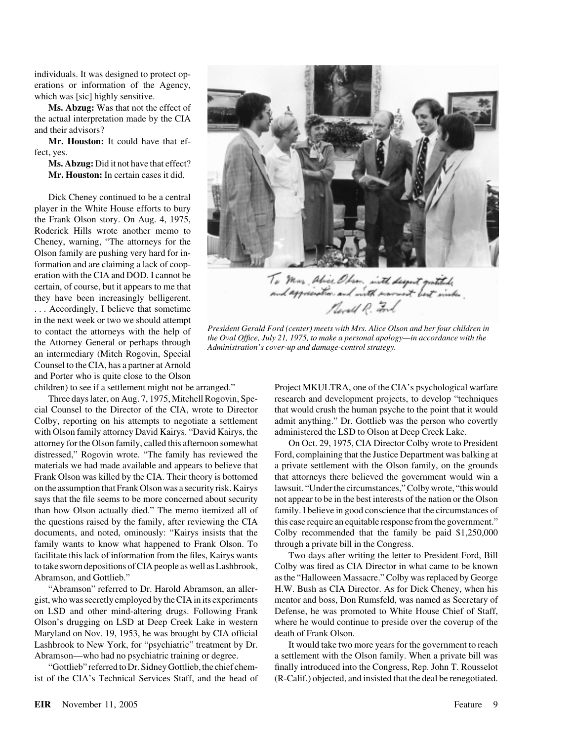individuals. It was designed to protect operations or information of the Agency, which was [sic] highly sensitive.

**Ms. Abzug:** Was that not the effect of the actual interpretation made by the CIA and their advisors?

**Mr. Houston:** It could have that effect, yes.

**Ms. Abzug:** Did it not have that effect? **Mr. Houston:** In certain cases it did.

Dick Cheney continued to be a central player in the White House efforts to bury the Frank Olson story. On Aug. 4, 1975, Roderick Hills wrote another memo to Cheney, warning, "The attorneys for the Olson family are pushing very hard for information and are claiming a lack of cooperation with the CIA and DOD. I cannot be certain, of course, but it appears to me that they have been increasingly belligerent. . . . Accordingly, I believe that sometime in the next week or two we should attempt Counsel to the CIA, has a partner at Arnold and Porter who is quite close to the Olson

Colby, reporting on his attempts to negotiate a settlement admit anything." Dr. Gottlieb was the person who covertly with Olson family attorney David Kairys. "David Kairys, the administered the LSD to Olson at Deep Creek Lake. attorney for the Olson family, called this afternoon somewhat On Oct. 29, 1975, CIA Director Colby wrote to President distressed," Rogovin wrote. "The family has reviewed the Ford, complaining that the Justice Department was balking at materials we had made available and appears to believe that a private settlement with the Olson family, on the grounds Frank Olson was killed by the CIA. Their theory is bottomed that attorneys there believed the government would win a on the assumption that Frank Olson was a security risk. Kairys lawsuit. "Under the circumstances,"Colby wrote, "this would says that the file seems to be more concerned about security not appear to be in the best interests of the nation or the Olson than how Olson actually died." The memo itemized all of family. I believe in good conscience that the circumstances of the questions raised by the family, after reviewing the CIA this case require an equitable response from the government." documents, and noted, ominously: "Kairys insists that the Colby recommended that the family be paid \$1,250,000 family wants to know what happened to Frank Olson. To through a private bill in the Congress. facilitate this lack of information from the files, Kairys wants Two days after writing the letter to President Ford, Bill to take sworn depositions of CIA people as well as Lashbrook, Colby was fired as CIA Director in what came to be known

gist, who was secretly employed by the CIA in its experiments mentor and boss, Don Rumsfeld, was named as Secretary of on LSD and other mind-altering drugs. Following Frank Defense, he was promoted to White House Chief of Staff, Olson's drugging on LSD at Deep Creek Lake in western where he would continue to preside over the coverup of the Maryland on Nov. 19, 1953, he was brought by CIA official death of Frank Olson. Lashbrook to New York, for "psychiatric" treatment by Dr. It would take two more years for the government to reach

ist of the CIA's Technical Services Staff, and the head of (R-Calif.) objected, and insisted that the deal be renegotiated.



To Mar Abie Obson with deepnt gratitude

to contact the attorneys with the help of<br>the Avalogue of the Oval Office, July 21, 1975, to make a personal apology—in accordance with the<br>an intermediary (Mitch Rogovin, Special<br>an intermediary (Mitch Rogovin, Special

children) to see if a settlement might not be arranged." Project MKULTRA, one of the CIA's psychological warfare Three days later, on Aug. 7, 1975, Mitchell Rogovin, Spe- research and development projects, to develop "techniques cial Counsel to the Director of the CIA, wrote to Director that would crush the human psyche to the point that it would

Abramson, and Gottlieb." as the "Halloween Massacre." Colby was replaced by George "Abramson" referred to Dr. Harold Abramson, an aller- H.W. Bush as CIA Director. As for Dick Cheney, when his

Abramson—who had no psychiatric training or degree. a settlement with the Olson family. When a private bill was "Gottlieb" referred to Dr. Sidney Gottlieb, the chief chem- finally introduced into the Congress, Rep. John T. Rousselot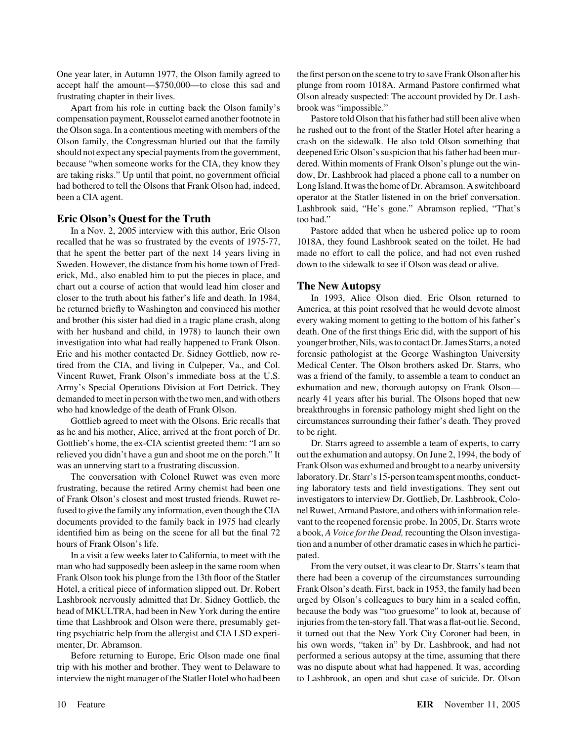accept half the amount—\$750,000—to close this sad and plunge from room 1018A. Armand Pastore confirmed what frustrating chapter in their lives. Olson already suspected: The account provided by Dr. Lash-

Apart from his role in cutting back the Olson family's brook was "impossible." compensation payment, Rousselot earned another footnote in Pastore told Olson that his father had still been alive when the Olson saga. In a contentious meeting with members of the he rushed out to the front of the Statler Hotel after hearing a Olson family, the Congressman blurted out that the family crash on the sidewalk. He also told Olson something that should not expect any special payments from the government, deepened Eric Olson's suspicion that his father had been murbecause "when someone works for the CIA, they know they dered. Within moments of Frank Olson's plunge out the winare taking risks." Up until that point, no government official dow, Dr. Lashbrook had placed a phone call to a number on had bothered to tell the Olsons that Frank Olson had, indeed, Long Island. It was the home of Dr. Abramson. A switchboard been a CIA agent.  $\blacksquare$  operator at the Statler listened in on the brief conversation.

## **Eric Olson's Quest for the Truth** too bad."

recalled that he was so frustrated by the events of 1975-77, 1018A, they found Lashbrook seated on the toilet. He had that he spent the better part of the next 14 years living in made no effort to call the police, and had not even rushed Sweden. However, the distance from his home town of Fred- down to the sidewalk to see if Olson was dead or alive. erick, Md., also enabled him to put the pieces in place, and chart out a course of action that would lead him closer and **The New Autopsy** closer to the truth about his father's life and death. In 1984, In 1993, Alice Olson died. Eric Olson returned to he returned briefly to Washington and convinced his mother America, at this point resolved that he would devote almost and brother (his sister had died in a tragic plane crash, along every waking moment to getting to the bottom of his father's with her husband and child, in 1978) to launch their own death. One of the first things Eric did, with the support of his investigation into what had really happened to Frank Olson. younger brother, Nils, was to contact Dr. James Starrs, a noted Eric and his mother contacted Dr. Sidney Gottlieb, now re- forensic pathologist at the George Washington University tired from the CIA, and living in Culpeper, Va., and Col. Medical Center. The Olson brothers asked Dr. Starrs, who Vincent Ruwet, Frank Olson's immediate boss at the U.S. was a friend of the family, to assemble a team to conduct an Army's Special Operations Division at Fort Detrick. They exhumation and new, thorough autopsy on Frank Olson demanded to meet in person with the two men, and with others nearly 41 years after his burial. The Olsons hoped that new who had knowledge of the death of Frank Olson. breakthroughs in forensic pathology might shed light on the

as he and his mother, Alice, arrived at the front porch of Dr. to be right. Gottlieb's home, the ex-CIA scientist greeted them: "I am so Dr. Starrs agreed to assemble a team of experts, to carry relieved you didn't have a gun and shoot me on the porch." It out the exhumation and autopsy. On June 2, 1994, the body of

frustrating, because the retired Army chemist had been one ing laboratory tests and field investigations. They sent out of Frank Olson's closest and most trusted friends. Ruwet re- investigators to interview Dr. Gottlieb, Dr. Lashbrook, Colofused to give the family any information, even though the CIA nel Ruwet, Armand Pastore, and others with information reledocuments provided to the family back in 1975 had clearly vant to the reopened forensic probe. In 2005, Dr. Starrs wrote identified him as being on the scene for all but the final 72 a book, *A Voice for the Dead,* recounting the Olson investigahours of Frank Olson's life. the tion and a number of other dramatic cases in which he partici-

In a visit a few weeks later to California, to meet with the pated. man who had supposedly been asleep in the same room when From the very outset, it was clear to Dr. Starrs's team that Frank Olson took his plunge from the 13th floor of the Statler there had been a coverup of the circumstances surrounding Hotel, a critical piece of information slipped out. Dr. Robert Frank Olson's death. First, back in 1953, the family had been Lashbrook nervously admitted that Dr. Sidney Gottlieb, the urged by Olson's colleagues to bury him in a sealed coffin, head of MKULTRA, had been in New York during the entire because the body was "too gruesome" to look at, because of time that Lashbrook and Olson were there, presumably get- injuries from the ten-story fall. That was a flat-out lie. Second, ting psychiatric help from the allergist and CIA LSD experi- it turned out that the New York City Coroner had been, in menter, Dr. Abramson. his own words, "taken in" by Dr. Lashbrook, and had not

trip with his mother and brother. They went to Delaware to was no dispute about what had happened. It was, according interview the night manager of the Statler Hotel who had been to Lashbrook, an open and shut case of suicide. Dr. Olson

One year later, in Autumn 1977, the Olson family agreed to the first person on the scene to try to save Frank Olson after his

Lashbrook said, "He's gone." Abramson replied, "That's

In a Nov. 2, 2005 interview with this author, Eric Olson Pastore added that when he ushered police up to room

Gottlieb agreed to meet with the Olsons. Eric recalls that circumstances surrounding their father's death. They proved

was an unnerving start to a frustrating discussion. Frank Olson was exhumed and brought to a nearby university The conversation with Colonel Ruwet was even more laboratory. Dr. Starr's 15-person team spent months, conduct-

Before returning to Europe, Eric Olson made one final performed a serious autopsy at the time, assuming that there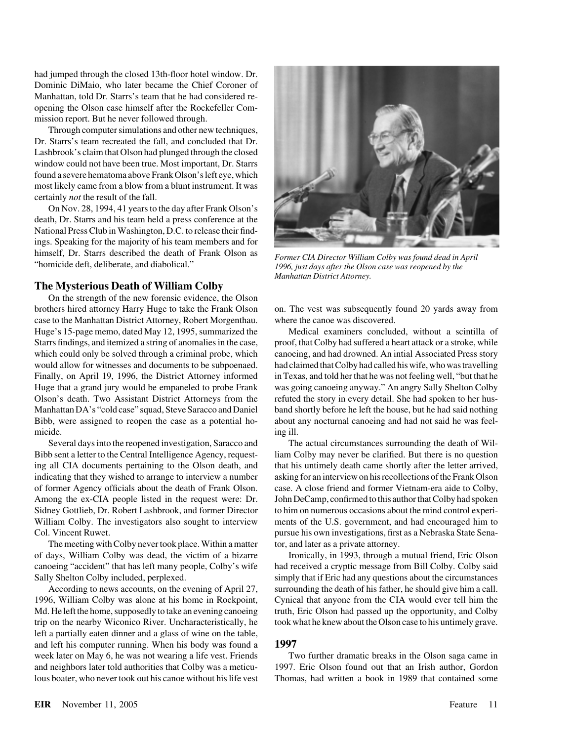had jumped through the closed 13th-floor hotel window. Dr. Dominic DiMaio, who later became the Chief Coroner of Manhattan, told Dr. Starrs's team that he had considered reopening the Olson case himself after the Rockefeller Commission report. But he never followed through.

Through computer simulations and other new techniques, Dr. Starrs's team recreated the fall, and concluded that Dr. Lashbrook's claim that Olson had plunged through the closed window could not have been true. Most important, Dr. Starrs found a severe hematoma above Frank Olson's left eye, which most likely came from a blow from a blunt instrument. It was certainly *not* the result of the fall.

On Nov. 28, 1994, 41 years to the day after Frank Olson's death, Dr. Starrs and his team held a press conference at the National Press Club in Washington, D.C. to release their findings. Speaking for the majority of his team members and for himself, Dr. Starrs described the death of Frank Olson as<br>
"homicide deft, deliberate, and diabolical." [1996, just days after the Olson case was reopened by the

### **The Mysterious Death of William Colby**

On the strength of the new forensic evidence, the Olson brothers hired attorney Harry Huge to take the Frank Olson on. The vest was subsequently found 20 yards away from case to the Manhattan District Attorney, Robert Morgenthau. where the canoe was discovered. Huge's 15-page memo, dated May 12, 1995, summarized the Medical examiners concluded, without a scintilla of Starrs findings, and itemized a string of anomalies in the case, proof, that Colby had suffered a heart attack or a stroke, while which could only be solved through a criminal probe, which canoeing, and had drowned. An intial Associated Press story would allow for witnesses and documents to be subpoenaed. had claimed that Colby had called his wife, who was travelling Finally, on April 19, 1996, the District Attorney informed in Texas, and told her that he was not feeling well, "but that he Huge that a grand jury would be empaneled to probe Frank was going canoeing anyway." An angry Sally Shelton Colby Olson's death. Two Assistant District Attorneys from the refuted the story in every detail. She had spoken to her hus-Manhattan DA's "cold case" squad, Steve Saracco and Daniel band shortly before he left the house, but he had said nothing Bibb, were assigned to reopen the case as a potential ho- about any nocturnal canoeing and had not said he was feelmicide. ing ill.

Bibb sent a letter to the Central Intelligence Agency, request- liam Colby may never be clarified. But there is no question ing all CIA documents pertaining to the Olson death, and that his untimely death came shortly after the letter arrived, indicating that they wished to arrange to interview a number asking for an interview on his recollections of the Frank Olson of former Agency officials about the death of Frank Olson. case. A close friend and former Vietnam-era aide to Colby, Among the ex-CIA people listed in the request were: Dr. John DeCamp, confirmed to this author that Colby had spoken Sidney Gottlieb, Dr. Robert Lashbrook, and former Director to him on numerous occasions about the mind control experi-William Colby. The investigators also sought to interview ments of the U.S. government, and had encouraged him to Col. Vincent Ruwet. pursue his own investigations, first as a Nebraska State Sena-

The meeting with Colby never took place. Within a matter tor, and later as a private attorney. of days, William Colby was dead, the victim of a bizarre Ironically, in 1993, through a mutual friend, Eric Olson canoeing "accident" that has left many people, Colby's wife had received a cryptic message from Bill Colby. Colby said Sally Shelton Colby included, perplexed. simply that if Eric had any questions about the circumstances

1996, William Colby was alone at his home in Rockpoint, Cynical that anyone from the CIA would ever tell him the Md. He left the home, supposedly to take an evening canoeing truth, Eric Olson had passed up the opportunity, and Colby trip on the nearby Wiconico River. Uncharacteristically, he took what he knew about the Olson case to his untimely grave. left a partially eaten dinner and a glass of wine on the table, and left his computer running. When his body was found a **1997** week later on May 6, he was not wearing a life vest. Friends Two further dramatic breaks in the Olson saga came in and neighbors later told authorities that Colby was a meticu- 1997. Eric Olson found out that an Irish author, Gordon lous boater, who never took out his canoe without his life vest Thomas, had written a book in 1989 that contained some



*Manhattan District Attorney.*

Several days into the reopened investigation, Saracco and The actual circumstances surrounding the death of Wil-

According to news accounts, on the evening of April 27, surrounding the death of his father, he should give him a call.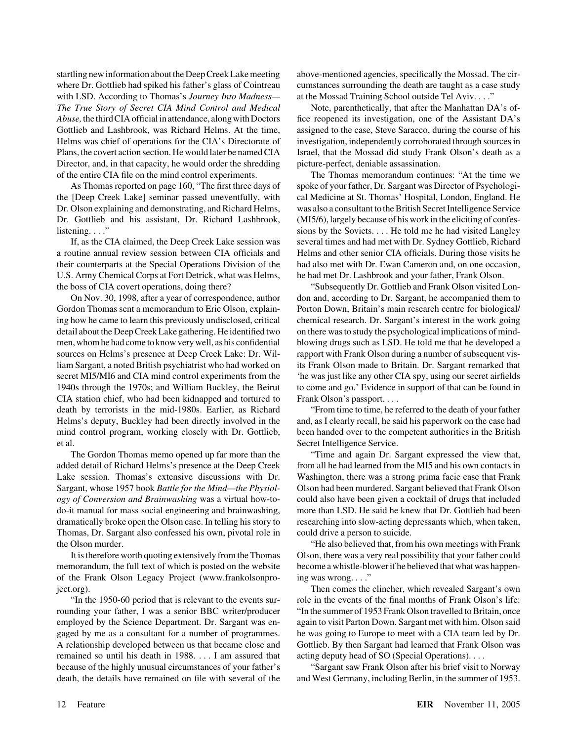where Dr. Gottlieb had spiked his father's glass of Cointreau cumstances surrounding the death are taught as a case study with LSD. According to Thomas's *Journey Into Madness*— at the Mossad Training School outside Tel Aviv...." *The True Story of Secret CIA Mind Control and Medical* Note, parenthetically, that after the Manhattan DA's of-*Abuse,*the third CIA official in attendance, along with Doctors fice reopened its investigation, one of the Assistant DA's Gottlieb and Lashbrook, was Richard Helms. At the time, assigned to the case, Steve Saracco, during the course of his Helms was chief of operations for the CIA's Directorate of investigation, independently corroborated through sources in Plans, the covert action section. He would later be named CIA Israel, that the Mossad did study Frank Olson's death as a Director, and, in that capacity, he would order the shredding picture-perfect, deniable assassination.

the [Deep Creek Lake] seminar passed uneventfully, with cal Medicine at St. Thomas' Hospital, London, England. He Dr. Olson explaining and demonstrating, and Richard Helms, was also a consultant to the British Secret Intelligence Service Dr. Gottlieb and his assistant, Dr. Richard Lashbrook, (MI5/6), largely because of his work in the eliciting of confeslistening...." sions by the Soviets. . . . He told me he had visited Langley

a routine annual review session between CIA officials and Helms and other senior CIA officials. During those visits he their counterparts at the Special Operations Division of the had also met with Dr. Ewan Cameron and, on one occasion, U.S. Army Chemical Corps at Fort Detrick, what was Helms, he had met Dr. Lashbrook and your father, Frank Olson. the boss of CIA covert operations, doing there? "Subsequently Dr. Gottlieb and Frank Olson visited Lon-

Gordon Thomas sent a memorandum to Eric Olson, explain- Porton Down, Britain's main research centre for biological/ ing how he came to learn this previously undisclosed, critical chemical research. Dr. Sargant's interest in the work going detail about the Deep Creek Lake gathering. He identified two on there was to study the psychological implications of mindmen, whom he had come to know very well, as his confidential blowing drugs such as LSD. He told me that he developed a sources on Helms's presence at Deep Creek Lake: Dr. Wil-<br>
rapport with Frank Olson during a number of subsequent visliam Sargant, a noted British psychiatrist who had worked on its Frank Olson made to Britain. Dr. Sargant remarked that secret MI5/MI6 and CIA mind control experiments from the <sup>the</sup> was just like any other CIA spy, using our secret airfields 1940s through the 1970s; and William Buckley, the Beirut to come and go.' Evidence in support of that can be found in CIA station chief, who had been kidnapped and tortured to Frank Olson's passport.... death by terrorists in the mid-1980s. Earlier, as Richard "From time to time, he referred to the death of your father Helms's deputy, Buckley had been directly involved in the and, as I clearly recall, he said his paperwork on the case had mind control program, working closely with Dr. Gottlieb, been handed over to the competent authorities in the British et al. Secret Intelligence Service.

added detail of Richard Helms's presence at the Deep Creek from all he had learned from the MI5 and his own contacts in Lake session. Thomas's extensive discussions with Dr. Washington, there was a strong prima facie case that Frank Sargant, whose 1957 book *Battle for the Mind—the Physiol-* Olson had been murdered. Sargant believed that Frank Olson *ogy of Conversion and Brainwashing* was a virtual how-to- could also have been given a cocktail of drugs that included do-it manual for mass social engineering and brainwashing, more than LSD. He said he knew that Dr. Gottlieb had been dramatically broke open the Olson case. In telling his story to researching into slow-acting depressants which, when taken, Thomas, Dr. Sargant also confessed his own, pivotal role in could drive a person to suicide. the Olson murder. "He also believed that, from his own meetings with Frank

memorandum, the full text of which is posted on the website become a whistle-blower if he believed that what was happenof the Frank Olson Legacy Project (www.frankolsonpro- ing was wrong. . . ." ject.org). Then comes the clincher, which revealed Sargant's own

rounding your father, I was a senior BBC writer/producer "In the summer of 1953 Frank Olson travelled to Britain, once employed by the Science Department. Dr. Sargant was en- again to visit Parton Down. Sargant met with him. Olson said gaged by me as a consultant for a number of programmes. he was going to Europe to meet with a CIA team led by Dr. A relationship developed between us that became close and Gottlieb. By then Sargant had learned that Frank Olson was remained so until his death in 1988. . . . I am assured that acting deputy head of SO (Special Operations). . . . because of the highly unusual circumstances of your father's "Sargant saw Frank Olson after his brief visit to Norway death, the details have remained on file with several of the and West Germany, including Berlin, in the summer of 1953.

startling new information about the Deep Creek Lake meeting above-mentioned agencies, specifically the Mossad. The cir-

of the entire CIA file on the mind control experiments. The Thomas memorandum continues: "At the time we As Thomas reported on page 160, "The first three days of spoke of your father, Dr. Sargant was Director of Psychologi-If, as the CIA claimed, the Deep Creek Lake session was several times and had met with Dr. Sydney Gottlieb, Richard

On Nov. 30, 1998, after a year of correspondence, author don and, according to Dr. Sargant, he accompanied them to

The Gordon Thomas memo opened up far more than the "Time and again Dr. Sargant expressed the view that,

It is therefore worth quoting extensively from the Thomas Olson, there was a very real possibility that your father could

"In the 1950-60 period that is relevant to the events sur- role in the events of the final months of Frank Olson's life: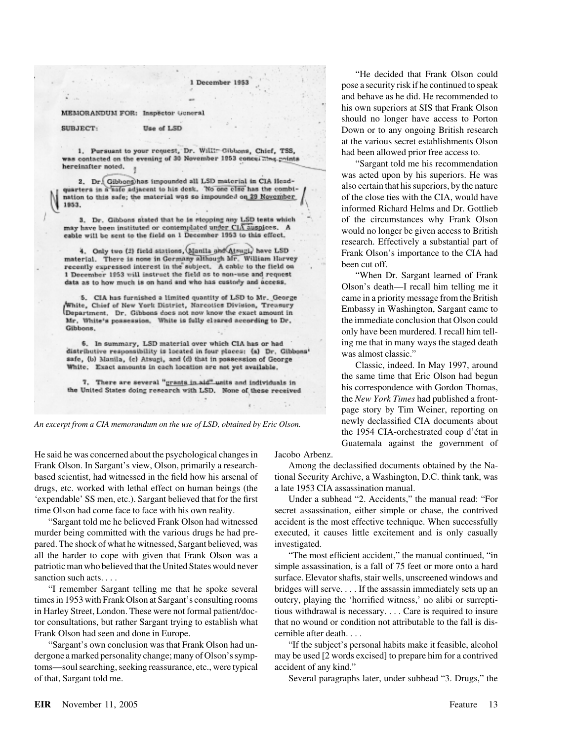1 December 1953

MEMORANDUM FOR: Inspector General

**SUBJECT:** 

Use of LSD

1. Pursuant to your request, Dr. Willi-Gibbons, Chief, TSS, was contacted on the evening of 30 November 1953 conceil the points hereinafter noted.

2. Dr. Gibbong) has impounded all LSD material in CIA Headquarters in a safe adjacent to his desk. 'No one clse has the combination to this safe; the material was so impounded on 29 November 1953.

3. Dr. Gibbons stated that he is stopping any LSD tests which may have been instituted or contemplated under CIA auspices. A cable will be sent to the field on 1 December 1953 to this effect.

4. Only two (2) field stations, Manila and Atracia have LSD material. There is none in Germany although Mr. William Harvey recently expressed interest in the subject. A cable to the field on 1 December 1953 will instruct the field as to non-use and request data as to how much is on hand and who has custody and access.

5. CIA has furnished a limited quantity of LSD to Mr. George White, Chief of New York District, Narcotics Division, Treasury Department, Dr. Gibbons does not now know the exact amount in Mr. White's possession. White is fully cleared according to Dr. Gibbons.

6. In summary, LSD material over which CIA has or had distributive responsibility is located in four places: (a) Dr. Gibbons' safe, (b) Manila, (c) Atsugi, and (d) that in possession of George White; Exact amounts in each location are not yet available,

7. There are several "grants in aid" units and individuals in the United States doing research with LSD. None of these received

*An excerpt from a CIA memorandum on the use of LSD, obtained by Eric Olson.* newly declassified CIA documents about

He said he was concerned about the psychological changes in Jacobo Arbenz. Frank Olson. In Sargant's view, Olson, primarily a research- Among the declassified documents obtained by the Nabased scientist, had witnessed in the field how his arsenal of tional Security Archive, a Washington, D.C. think tank, was drugs, etc. worked with lethal effect on human beings (the a late 1953 CIA assassination manual. 'expendable' SS men, etc.). Sargant believed that for the first Under a subhead "2. Accidents," the manual read: "For time Olson had come face to face with his own reality. secret assassination, either simple or chase, the contrived

pared. The shock of what he witnessed, Sargant believed, was investigated. all the harder to cope with given that Frank Olson was a "The most efficient accident," the manual continued, "in patriotic man who believed that the United States would never simple assassination, is a fall of 75 feet or more onto a hard sanction such acts. . . . surface. Elevator shafts, stair wells, unscreened windows and

times in 1953 with Frank Olson at Sargant's consulting rooms outcry, playing the 'horrified witness,' no alibi or surreptiin Harley Street, London. These were not formal patient/doc- tious withdrawal is necessary. . . . Care is required to insure tor consultations, but rather Sargant trying to establish what that no wound or condition not attributable to the fall is dis-Frank Olson had seen and done in Europe. Cernible after death. . . .

dergone a marked personality change; many of Olson's symp- may be used [2 words excised] to prepare him for a contrived toms—soul searching, seeking reassurance, etc., were typical accident of any kind." of that, Sargant told me. Several paragraphs later, under subhead "3. Drugs," the

"He decided that Frank Olson could pose a security risk if he continued to speak and behave as he did. He recommended to his own superiors at SIS that Frank Olson should no longer have access to Porton Down or to any ongoing British research at the various secret establishments Olson had been allowed prior free access to.

"Sargant told me his recommendation was acted upon by his superiors. He was also certain that his superiors, by the nature of the close ties with the CIA, would have informed Richard Helms and Dr. Gottlieb of the circumstances why Frank Olson would no longer be given access to British research. Effectively a substantial part of Frank Olson's importance to the CIA had been cut off.

"When Dr. Sargant learned of Frank Olson's death—I recall him telling me it came in a priority message from the British Embassy in Washington, Sargant came to the immediate conclusion that Olson could only have been murdered. I recall him telling me that in many ways the staged death was almost classic."

Classic, indeed. In May 1997, around the same time that Eric Olson had begun his correspondence with Gordon Thomas, the *New York Times* had published a frontpage story by Tim Weiner, reporting on the 1954 CIA-orchestrated coup d'état in Guatemala against the government of

"Sargant told me he believed Frank Olson had witnessed accident is the most effective technique. When successfully murder being committed with the various drugs he had pre- executed, it causes little excitement and is only casually

"I remember Sargant telling me that he spoke several bridges will serve. . . . If the assassin immediately sets up an

"Sargant's own conclusion was that Frank Olson had un- "If the subject's personal habits make it feasible, alcohol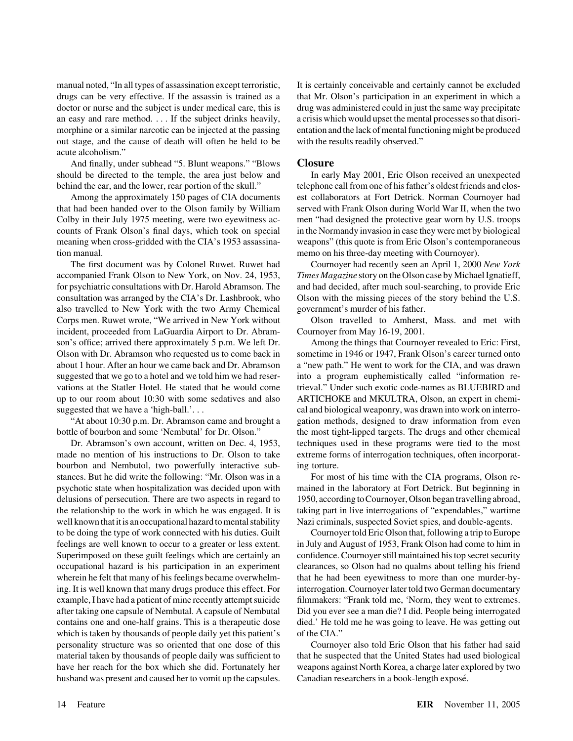out stage, and the cause of death will often be held to be with the results readily observed." acute alcoholism."

And finally, under subhead "5. Blunt weapons." "Blows **Closure** should be directed to the temple, the area just below and In early May 2001, Eric Olson received an unexpected behind the ear, and the lower, rear portion of the skull." telephone call from one of his father's oldest friends and clos-

that had been handed over to the Olson family by William served with Frank Olson during World War II, when the two Colby in their July 1975 meeting, were two eyewitness ac- men "had designed the protective gear worn by U.S. troops counts of Frank Olson's final days, which took on special in the Normandy invasion in case they were met by biological meaning when cross-gridded with the CIA's 1953 assassina- weapons" (this quote is from Eric Olson's contemporaneous tion manual. memo on his three-day meeting with Cournoyer).

accompanied Frank Olson to New York, on Nov. 24, 1953, *Times Magazine* story on the Olson case by Michael Ignatieff, for psychiatric consultations with Dr. Harold Abramson. The and had decided, after much soul-searching, to provide Eric consultation was arranged by the CIA's Dr. Lashbrook, who Olson with the missing pieces of the story behind the U.S. also travelled to New York with the two Army Chemical government's murder of his father. Corps men. Ruwet wrote, "We arrived in New York without Olson travelled to Amherst, Mass. and met with incident, proceeded from LaGuardia Airport to Dr. Abram- Cournoyer from May 16-19, 2001. son's office; arrived there approximately 5 p.m. We left Dr. Among the things that Cournoyer revealed to Eric: First, Olson with Dr. Abramson who requested us to come back in sometime in 1946 or 1947, Frank Olson's career turned onto about 1 hour. After an hour we came back and Dr. Abramson a "new path." He went to work for the CIA, and was drawn suggested that we go to a hotel and we told him we had reser- into a program euphemistically called "information revations at the Statler Hotel. He stated that he would come trieval." Under such exotic code-names as BLUEBIRD and up to our room about 10:30 with some sedatives and also ARTICHOKE and MKULTRA, Olson, an expert in chemisuggested that we have a 'high-ball.'. . . cal and biological weaponry, was drawn into work on interro-

bottle of bourbon and some 'Nembutal' for Dr. Olson." the most tight-lipped targets. The drugs and other chemical

made no mention of his instructions to Dr. Olson to take extreme forms of interrogation techniques, often incorporatbourbon and Nembutol, two powerfully interactive sub- ing torture. stances. But he did write the following: "Mr. Olson was in a For most of his time with the CIA programs, Olson repsychotic state when hospitalization was decided upon with mained in the laboratory at Fort Detrick. But beginning in delusions of persecution. There are two aspects in regard to 1950, according to Cournoyer, Olson began travelling abroad, the relationship to the work in which he was engaged. It is taking part in live interrogations of "expendables," wartime well known that it is an occupational hazard to mental stability Nazi criminals, suspected Soviet spies, and double-agents. to be doing the type of work connected with his duties. Guilt Cournoyer told Eric Olson that, following a trip to Europe feelings are well known to occur to a greater or less extent. in July and August of 1953, Frank Olson had come to him in Superimposed on these guilt feelings which are certainly an confidence. Cournoyer still maintained his top secret security occupational hazard is his participation in an experiment clearances, so Olson had no qualms about telling his friend wherein he felt that many of his feelings became overwhelm-<br>that he had been eyewitness to more than one murder-bying. It is well known that many drugs produce this effect. For interrogation. Cournoyer later told two German documentary example, I have had a patient of mine recently attempt suicide filmmakers: "Frank told me, 'Norm, they went to extremes. after taking one capsule of Nembutal. A capsule of Nembutal Did you ever see a man die? I did. People being interrogated contains one and one-half grains. This is a therapeutic dose died.' He told me he was going to leave. He was getting out which is taken by thousands of people daily yet this patient's of the CIA." personality structure was so oriented that one dose of this Cournoyer also told Eric Olson that his father had said material taken by thousands of people daily was sufficient to that he suspected that the United States had used biological have her reach for the box which she did. Fortunately her weapons against North Korea, a charge later explored by two husband was present and caused her to vomit up the capsules. Canadian researchers in a book-length exposé.

manual noted, "In all types of assassination except terroristic, It is certainly conceivable and certainly cannot be excluded drugs can be very effective. If the assassin is trained as a that Mr. Olson's participation in an experiment in which a doctor or nurse and the subject is under medical care, this is drug was administered could in just the same way precipitate an easy and rare method. . . . If the subject drinks heavily, a crisis which would upset the mental processes so that disorimorphine or a similar narcotic can be injected at the passing entation and the lack of mental functioning might be produced

Among the approximately 150 pages of CIA documents est collaborators at Fort Detrick. Norman Cournoyer had

The first document was by Colonel Ruwet. Ruwet had Cournoyer had recently seen an April 1, 2000 *New York*

"At about 10:30 p.m. Dr. Abramson came and brought a gation methods, designed to draw information from even Dr. Abramson's own account, written on Dec. 4, 1953, techniques used in these programs were tied to the most